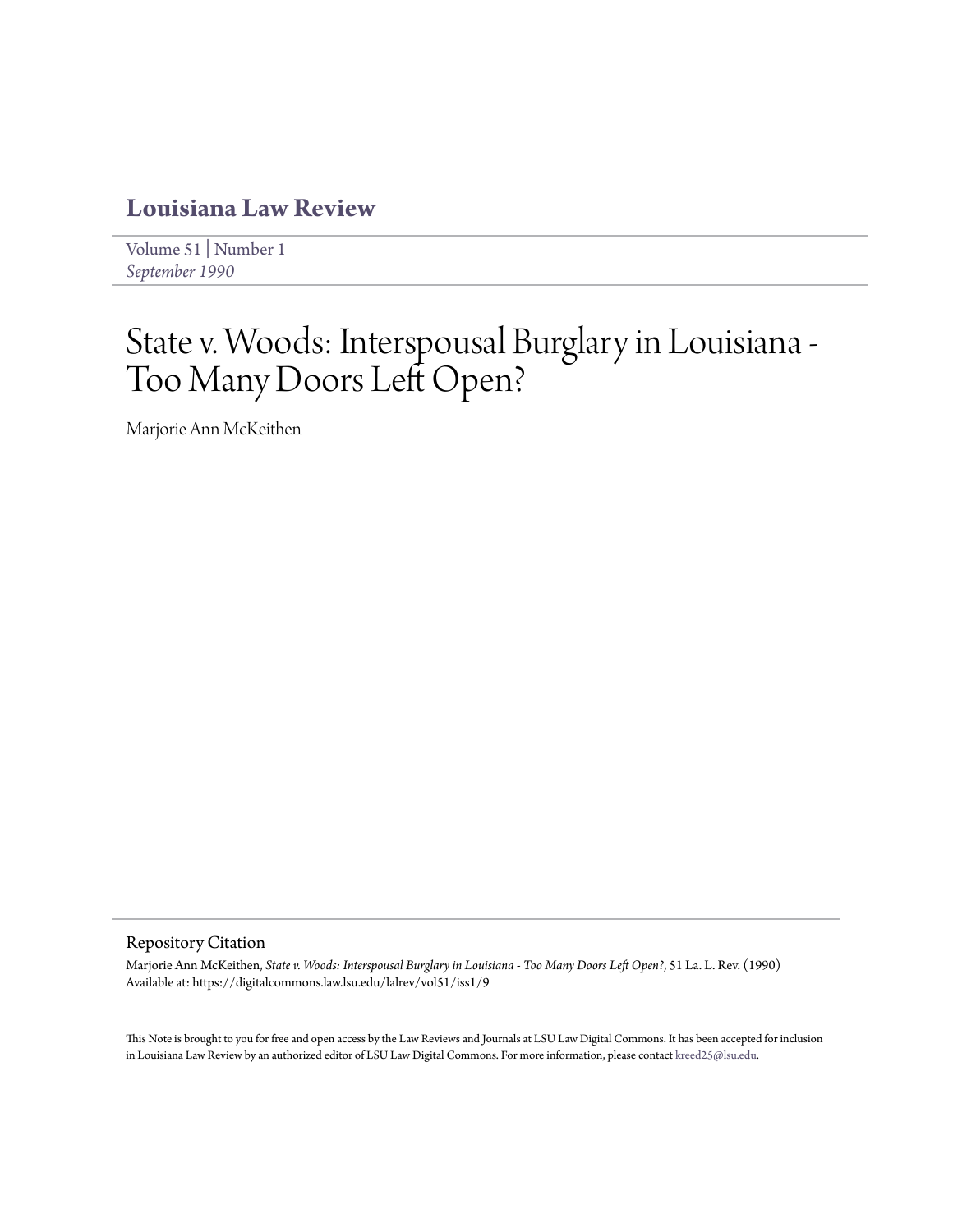# **[Louisiana Law Review](https://digitalcommons.law.lsu.edu/lalrev)**

[Volume 51](https://digitalcommons.law.lsu.edu/lalrev/vol51) | [Number 1](https://digitalcommons.law.lsu.edu/lalrev/vol51/iss1) *[September 1990](https://digitalcommons.law.lsu.edu/lalrev/vol51/iss1)*

# State v. Woods: Interspousal Burglary in Louisiana - Too Many Doors Left Open?

Marjorie Ann McKeithen

# Repository Citation

Marjorie Ann McKeithen, *State v. Woods: Interspousal Burglary in Louisiana - Too Many Doors Left Open?*, 51 La. L. Rev. (1990) Available at: https://digitalcommons.law.lsu.edu/lalrev/vol51/iss1/9

This Note is brought to you for free and open access by the Law Reviews and Journals at LSU Law Digital Commons. It has been accepted for inclusion in Louisiana Law Review by an authorized editor of LSU Law Digital Commons. For more information, please contact [kreed25@lsu.edu](mailto:kreed25@lsu.edu).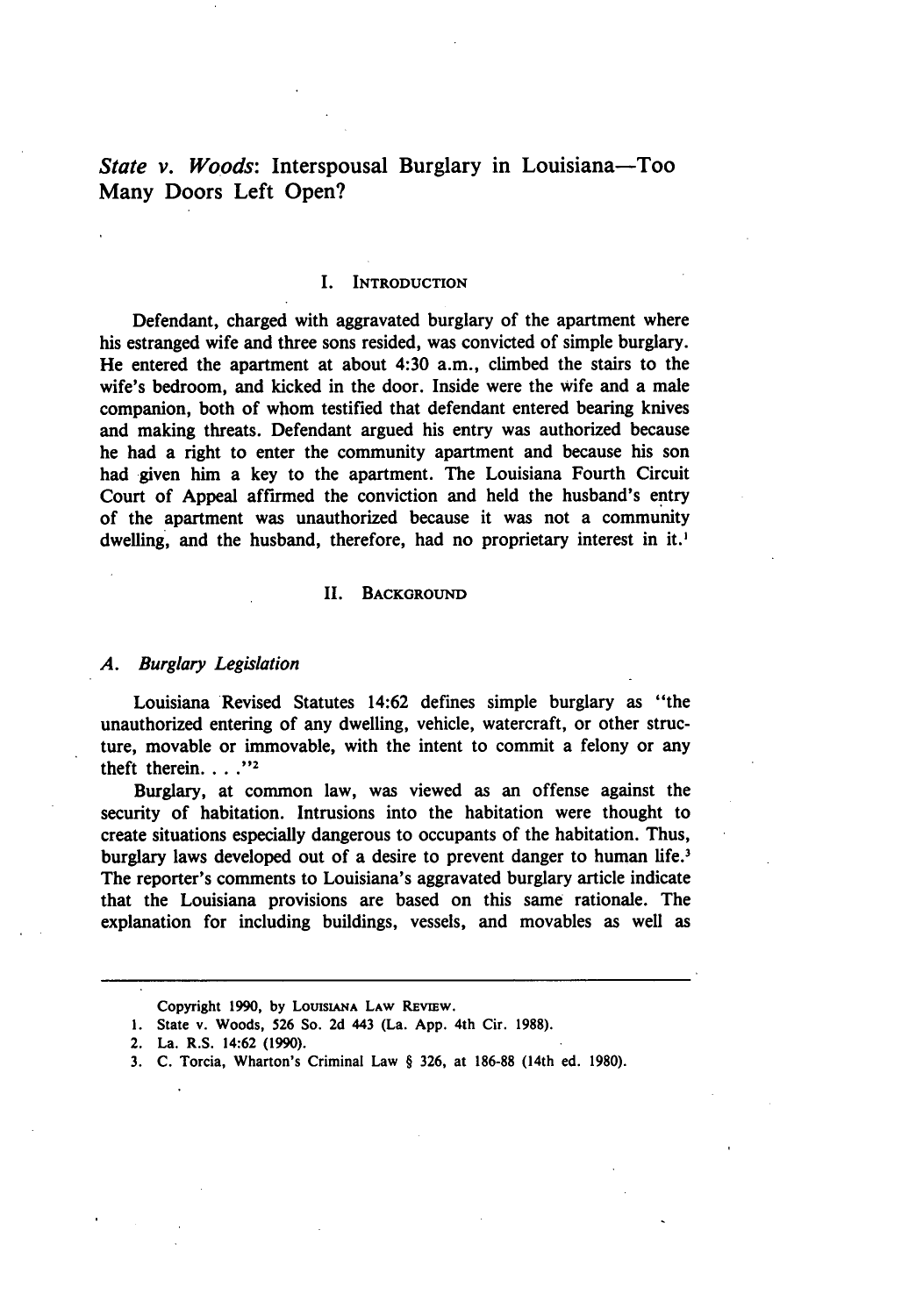*State v. Woods:* Interspousal Burglary in Louisiana—Too Many Doors Left Open?

#### **I. INTRODUCTION**

Defendant, charged with aggravated burglary of the apartment where his estranged wife and three sons resided, was convicted of simple burglary. He entered the apartment at about 4:30 a.m., climbed the stairs to the wife's bedroom, and kicked in the door. Inside were the wife and a male companion, both of whom testified that defendant entered bearing knives and making threats. Defendant argued his entry was authorized because he had a right to enter the community apartment and because his son had given him a key to the apartment. The Louisiana Fourth Circuit Court of Appeal affirmed the conviction and held the husband's entry of the apartment was unauthorized because it was not a community dwelling, and the husband, therefore, had no proprietary interest in it.'

#### **II. BACKGROUND**

#### *A.* Burglary *Legislation*

Louisiana Revised Statutes 14:62 defines simple burglary as "the unauthorized entering of any dwelling, vehicle, watercraft, or other structure, movable or immovable, with the intent to commit a felony or any theft therein. . . .<sup>"2</sup>

Burglary, at common law, was viewed as an offense against the security of habitation. Intrusions into the habitation were thought to create situations especially dangerous to occupants of the habitation. Thus, burglary laws developed out of a desire to prevent danger to human life.<sup>3</sup> The reporter's comments to Louisiana's aggravated burglary article indicate that the Louisiana provisions are based on this same rationale. The explanation for including buildings, vessels, and movables as well as

**Copyright 1990, by** LoUISIANA LAW **REVIEW.**

**<sup>1.</sup>** State v. Woods, **526** So. **2d** 443 (La. **App.** 4th Cir. **1988).**

<sup>2.</sup> La. R.S. 14:62 **(1990).**

**<sup>3.</sup> C.** Torcia, Wharton's **Criminal** Law § **326,** at **186-88** (14th ed. **1980).**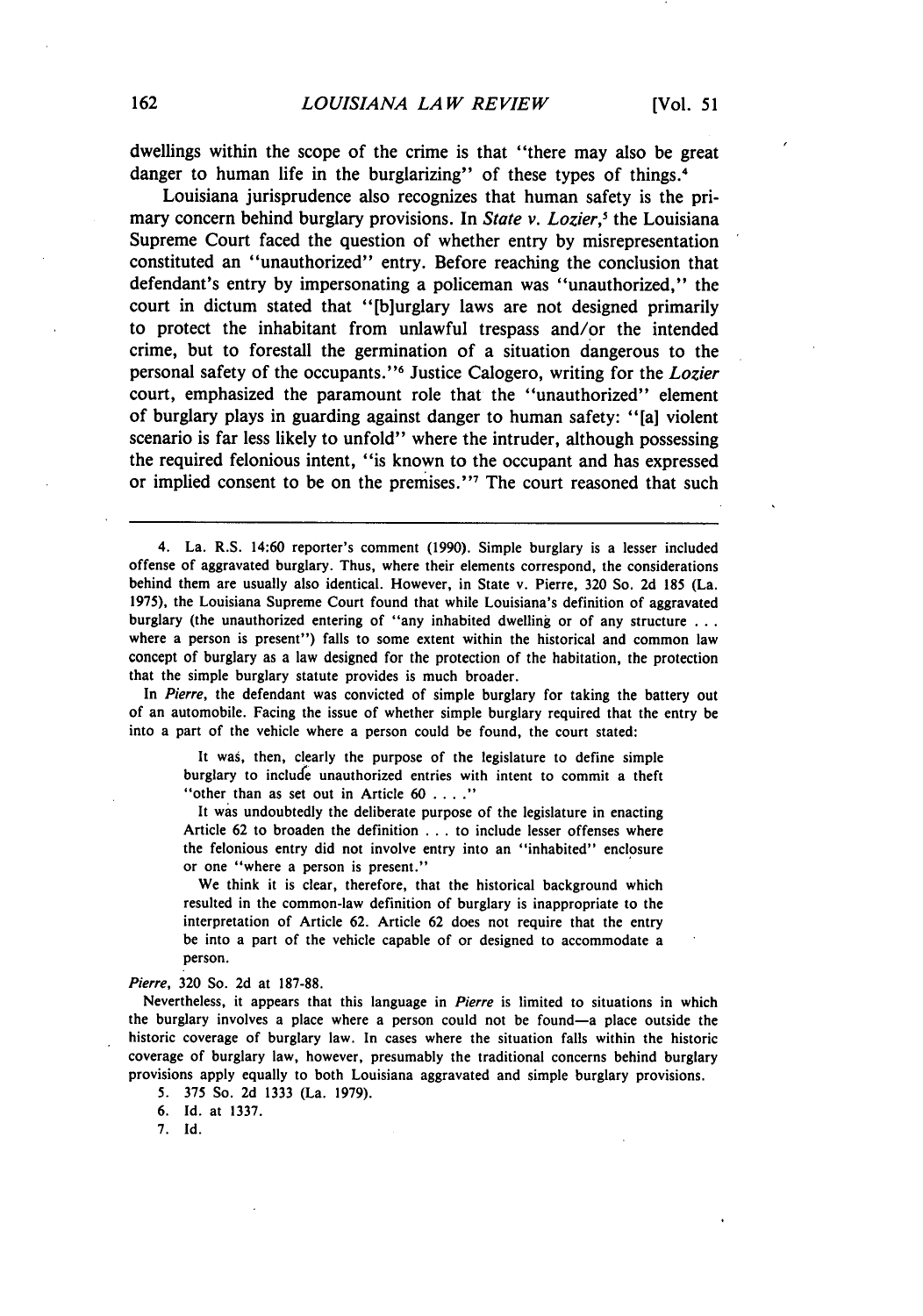dwellings within the scope of the crime is that "there may also be great danger to human life in the burglarizing" of these types of things.<sup>4</sup>

Louisiana jurisprudence also recognizes that human safety is the primary concern behind burglary provisions. In *State v. Lozier*,<sup>5</sup> the Louisiana Supreme Court faced the question of whether entry by misrepresentation constituted an "unauthorized" entry. Before reaching the conclusion that defendant's entry by impersonating a policeman was "unauthorized," the court in dictum stated that "[b]urglary laws are not designed primarily to protect the inhabitant from unlawful trespass and/or the intended crime, but to forestall the germination of a situation dangerous to the personal safety of the occupants." 6 Justice Calogero, writing for the *Lozier* court, emphasized the paramount role that the "unauthorized" element of burglary plays in guarding against danger to human safety: "[a] violent scenario is far less likely to unfold" where the intruder, although possessing the required felonious intent, "is known to the occupant and has expressed or implied consent to be on the premises."<sup>7</sup> The court reasoned that such

In *Pierre,* the defendant was convicted of simple burglary for taking the battery out of an automobile. Facing the issue of whether simple burglary required that the entry be into a part of the vehicle where a person could be found, the court stated:

It was, then, clearly the purpose of the legislature to define simple burglary to include unauthorized entries with intent to commit a theft "other than as set out in Article 60 . . . ."

It was undoubtedly the deliberate purpose of the legislature in enacting Article 62 to broaden the definition . . . to include lesser offenses where the felonious entry did not involve entry into an "inhabited" enclosure or one "where a person is present."

We think it is clear, therefore, that the historical background which resulted in the common-law definition of burglary is inappropriate to the interpretation of Article 62. Article 62 does not require that the entry be into a part of the vehicle capable of or designed to accommodate a person.

*Pierre,* **320** So. 2d at 187-88.

Nevertheless, it appears that this language in *Pierre* is limited to situations in which the burglary involves a place where a person could not be found-a place outside the historic coverage of burglary law. In cases where the situation falls within the historic coverage of burglary law, however, presumably the traditional concerns behind burglary provisions apply equally to both Louisiana aggravated and simple burglary provisions.

5. 375 So. 2d 1333 (La. 1979).

6. Id. at 1337.

7. Id.

<sup>4.</sup> La. R.S. 14:60 reporter's comment (1990). Simple burglary is a lesser included offense of aggravated burglary. Thus, where their elements correspond, the considerations behind them are usually also identical. However, in State v. Pierre, 320 So. 2d 185 (La. 1975), the Louisiana Supreme Court found that while Louisiana's definition of aggravated burglary (the unauthorized entering of "any inhabited dwelling or of any structure **. ..** where a person is present") falls to some extent within the historical and common law concept of burglary as a law designed for the protection of the habitation, the protection that the simple burglary statute provides is much broader.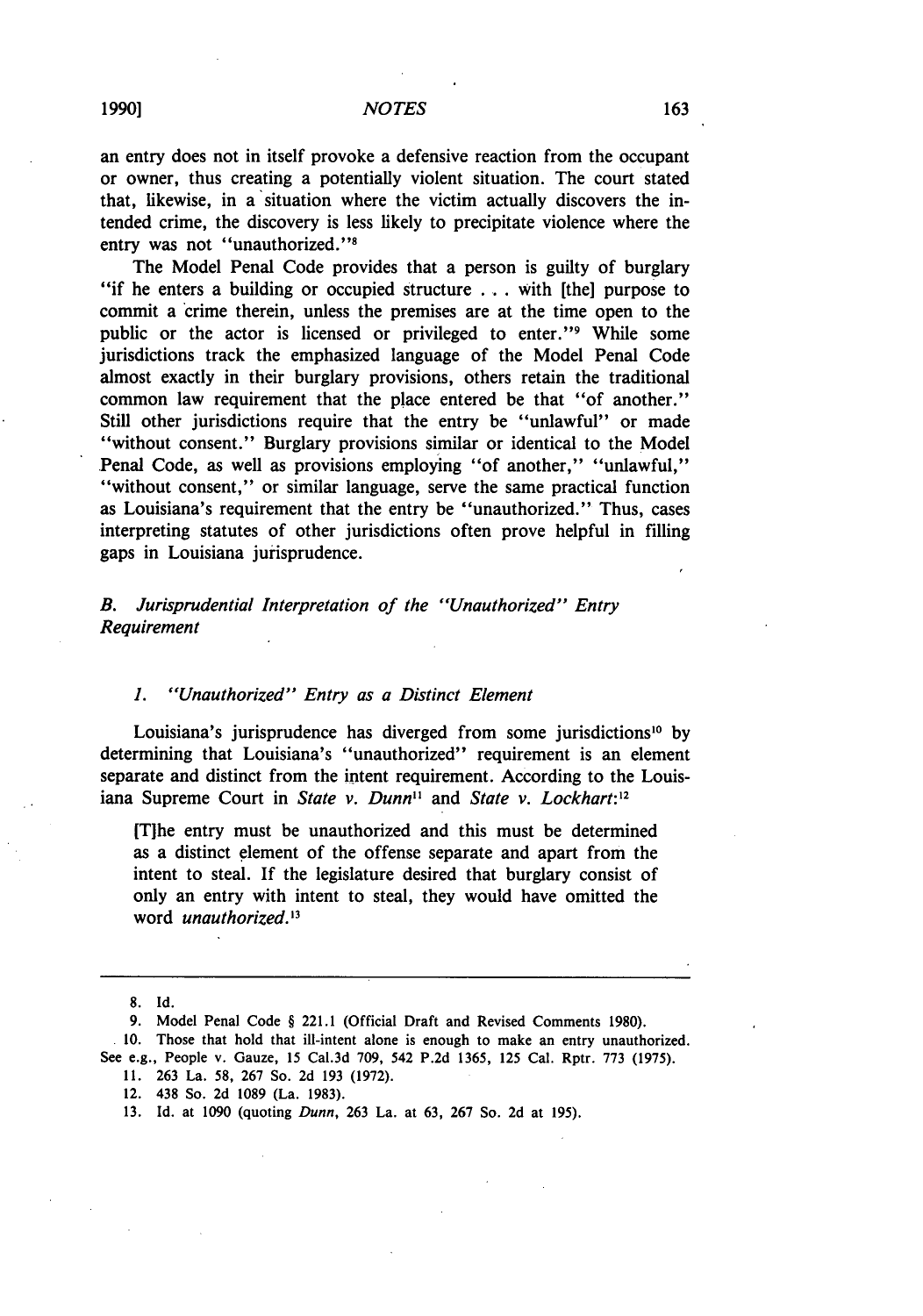an entry does not in itself provoke a defensive reaction from the occupant or owner, thus creating a potentially violent situation. The court stated that, likewise, in a situation where the victim actually discovers the intended crime, the discovery is less likely to precipitate violence where the entry was not "unauthorized."<sup>8</sup>

The Model Penal Code provides that a person is guilty of burglary "if he enters a building or occupied structure ... with [the] purpose to commit a crime therein, unless the premises are at the time open to the public or the actor is licensed or privileged to enter."<sup>9</sup> While some jurisdictions track the emphasized language of the Model Penal Code almost exactly in their burglary provisions, others retain the traditional common law requirement that the place entered be that "of another." Still other jurisdictions require that the entry be "unlawful" or made "without consent." Burglary provisions similar or identical to the Model Penal Code, as well as provisions employing "of another," "unlawful," "without consent," or similar language, serve the same practical function as Louisiana's requirement that the entry be "unauthorized." Thus, cases interpreting statutes of other jurisdictions often prove helpful in filling gaps in Louisiana jurisprudence.

# *B. Jurisprudential Interpretation of the "Unauthorized" Entry Requirement*

#### *1. "Unauthorized" Entry as a Distinct Element*

Louisiana's jurisprudence has diverged from some jurisdictions<sup>10</sup> by determining that Louisiana's "unauthorized" requirement is an element separate and distinct from the intent requirement. According to the Louisiana Supreme Court in *State v. Dunn*<sup>11</sup> and *State v. Lockhart*:<sup>12</sup>

[Tihe entry must be unauthorized and this must be determined as a distinct element of the offense separate and apart from the intent to steal. If the legislature desired that burglary consist of only an entry with intent to steal, they would have omitted the word *unauthorized*.<sup>13</sup>

8. Id.

- 11. 263 La. 58, 267 So. 2d 193 (1972).
- 12. 438 So. 2d 1089 (La. 1983).
- 13. Id. at 1090 (quoting Dunn, 263 La. at 63, 267 So. 2d at 195).

**1990]**

<sup>9.</sup> Model Penal Code § 221.1 (Official Draft and Revised Comments 1980).

<sup>10.</sup> Those that hold that ill-intent alone is enough to make an entry unauthorized. See e.g., People v. Gauze, 15 Cal.3d 709, 542 P.2d 1365, 125 Cal. Rptr. 773 (1975).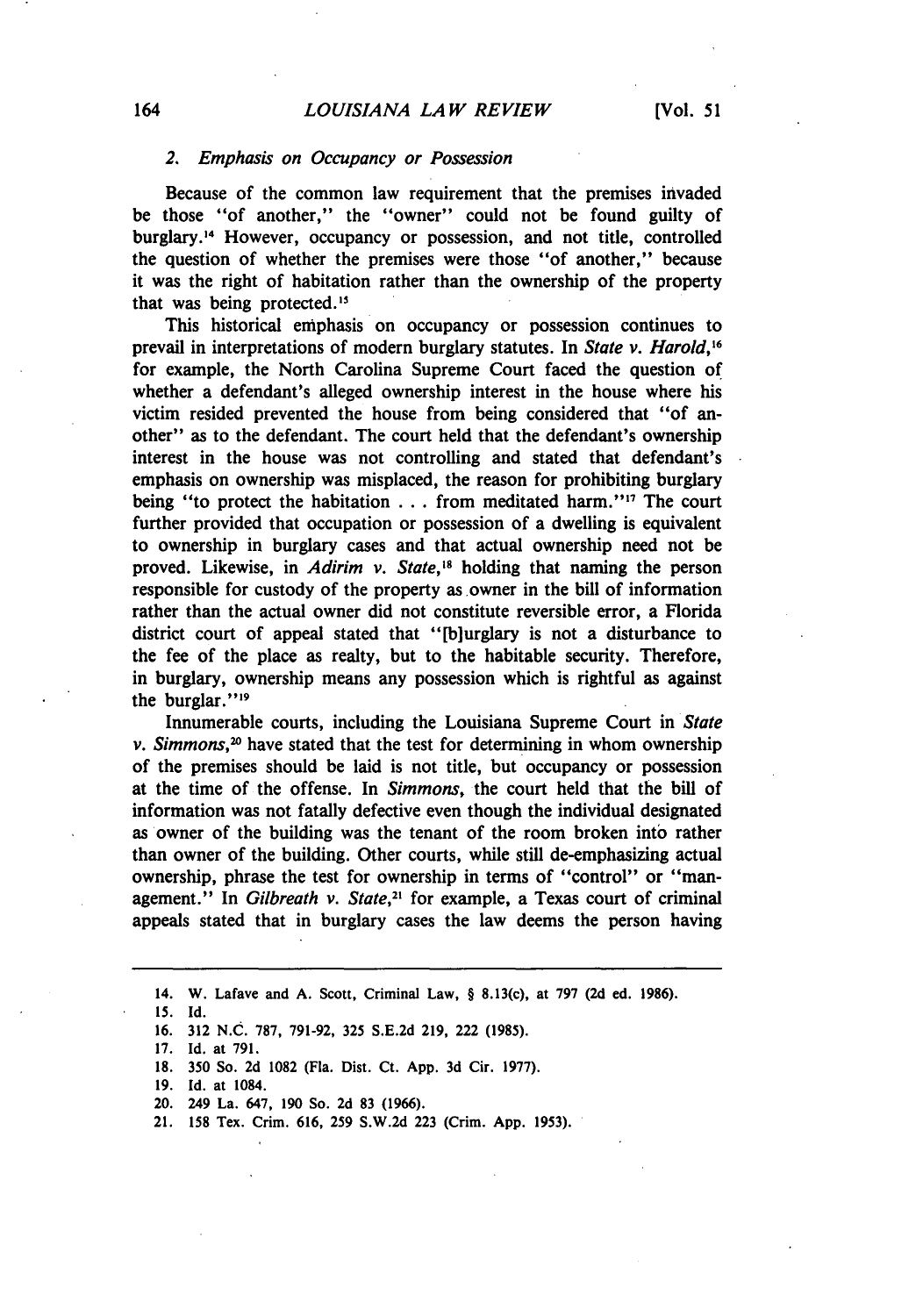#### *2. Emphasis on Occupancy or Possession*

Because of the common law requirement that the premises invaded be those "of another," the "owner" could not be found guilty of burglary.<sup>14</sup> However, occupancy or possession, and not title, controlled the question of whether the premises were those "of another," because it was the right of habitation rather than the ownership of the property that was being protected.<sup>15</sup>

This historical emphasis on occupancy or possession continues to prevail in interpretations of modern burglary statutes. In *State v. Harold,16* for example, the North Carolina Supreme Court faced the question of whether a defendant's alleged ownership interest in the house where his victim resided prevented the house from being considered that "of another" as to the defendant. The court held that the defendant's ownership interest in the house was not controlling and stated that defendant's emphasis on ownership was misplaced, the reason for prohibiting burglary being "to protect the habitation . . . from meditated harm."<sup>17</sup> The court further provided that occupation or possession of a dwelling is equivalent to ownership in burglary cases and that actual ownership need not be proved. Likewise, in *Adirim v. State*,<sup>18</sup> holding that naming the person responsible for custody of the property as owner in the bill of information rather than the actual owner did not constitute reversible error, a Florida district court of appeal stated that "[bjurglary is not a disturbance to the fee of the place as realty, but to the habitable security. Therefore, in burglary, ownership means any possession which is rightful as against the burglar."<sup>19</sup>

Innumerable courts, including the Louisiana Supreme Court in *State v. Simmons,"* have stated that the test for determining in whom ownership of the premises should be laid is not title, but occupancy or possession at the time of the offense. In *Simmons,* the court held that the bill of information was not fatally defective even though the individual designated as owner of the building was the tenant of the room broken into rather than owner of the building. Other courts, while still de-emphasizing actual ownership, phrase the test for ownership in terms of "control" or "management." In *Gilbreath v. State*,<sup>21</sup> for example, a Texas court of criminal appeals stated that in burglary cases the law deems the person having

*15.* Id.

**19. Id.** at 1084.

<sup>14.</sup> W. Lafave and **A.** Scott, Criminal Law, § 8.13(c), at **797 (2d** ed. **1986).**

**<sup>16. 312</sup>** N.C. **787, 791-92, 325 S.E.2d 219,** 222 **(1985).**

**<sup>17.</sup>** Id. at **791.**

**<sup>18. 350</sup>** So. **2d 1082** (Fla. Dist. Ct. **App. 3d** Cir. **1977).**

<sup>20. 249</sup> La. 647, **190** So. **2d 83 (1966).**

<sup>21.</sup> **158** Tex. Crim. **616, 259 S.W.2d 223** (Crim. **App. 1953).**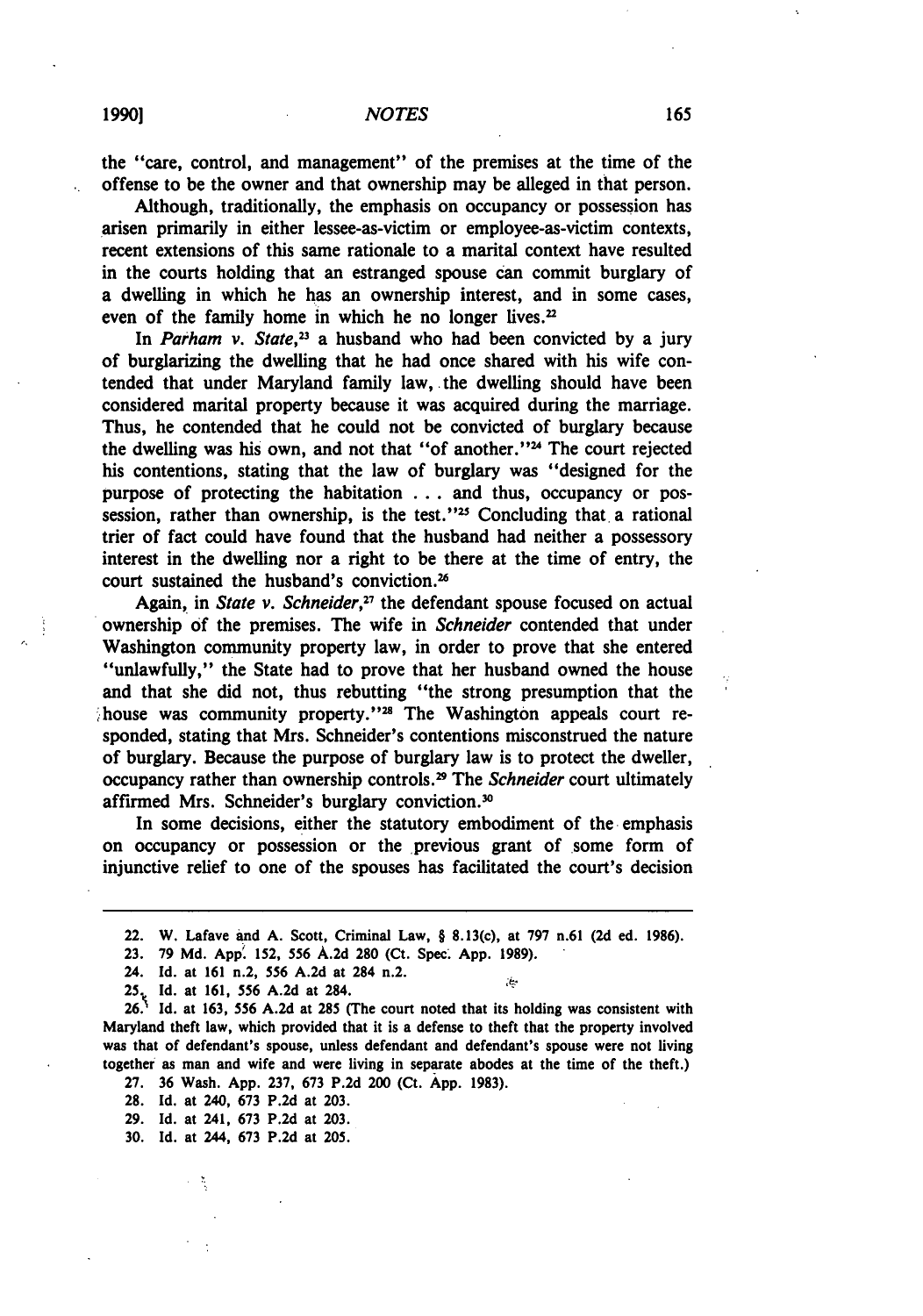the "care, control, and management" of the premises at the time of the offense to be the owner and that ownership may be alleged in that person.

Although, traditionally, the emphasis on occupancy or possession has arisen primarily in either lessee-as-victim or employee-as-victim contexts, recent extensions of this same rationale to a marital context have resulted in the courts holding that an estranged spouse can commit burglary of a dwelling in which he has an ownership interest, and in some cases, even of the family home in which he no longer lives.<sup>22</sup>

In *Parham v. State,'3* a husband who had been convicted **by** a jury of burglarizing the dwelling that he had once shared with his wife contended that under Maryland family law, the dwelling should have been considered marital property because it was acquired during the marriage. Thus, he contended that he could not be convicted of burglary because the dwelling was his own, and not that "of another."<sup>24</sup> The court rejected his contentions, stating that the law of burglary was "designed for the purpose of protecting the habitation **...** and thus, occupancy or possession, rather than ownership, is the test." $25$  Concluding that a rational trier of fact could have found that the husband had neither a possessory interest in the dwelling nor a right to be there at the time of entry, the court sustained the husband's conviction.<sup>26</sup>

Again, in *State v. Schneider*,<sup>27</sup> the defendant spouse focused on actual ownership **of** the premises. The wife in *Schneider* contended that under Washington community property law, in order to prove that she entered "unlawfully," the State had to prove that her husband owned the house and that she did not, thus rebutting "the strong presumption that the house was community property."<sup>28</sup> The Washington appeals court responded, stating that Mrs. Schneider's contentions misconstrued the nature of burglary. Because the purpose of burglary law is to protect the dweller, occupancy rather than ownership controls.2 The *Schneider* court ultimately affirmed Mrs. Schneider's burglary conviction."

In some decisions, either the statutory embodiment of the emphasis on occupancy or possession or the previous grant of some form of injunctive relief to one of the spouses has facilitated the court's decision

**25.** Id. at **161, 556 A.2d** at 284.

**265 Id.** at **163, 556 A.2d** at **285** (The court noted that its holding was consistent with Maryland theft law, which provided that it is a defense to theft that the property involved was that of defendant's spouse, unless defendant and defendant's spouse were not living together as man and wife and were living in separate abodes at the time of the theft.)

**27. 36** Wash. **App. 237, 673 P.2d** 200 (Ct. **App. 1983).**

**28. Id.** at 240, **673 P.2d** at **203.**

**29. Id.** at 241, **673 P.2d** at **203.**

**30. Id.** at 244, **673 P.2d** at **205.**

<sup>22.</sup> W. Lafave and **A.** Scott, Criminal Law, § 8.13(c), at **797** n.61 **(2d** ed. **1986).**

<sup>23. 79</sup> Md. App. 152, 556 A.2d 280 (Ct. Spec. App. 1989).

<sup>24.</sup> **Id.** at **161** n.2, **556 A.2d** at 284 n.2.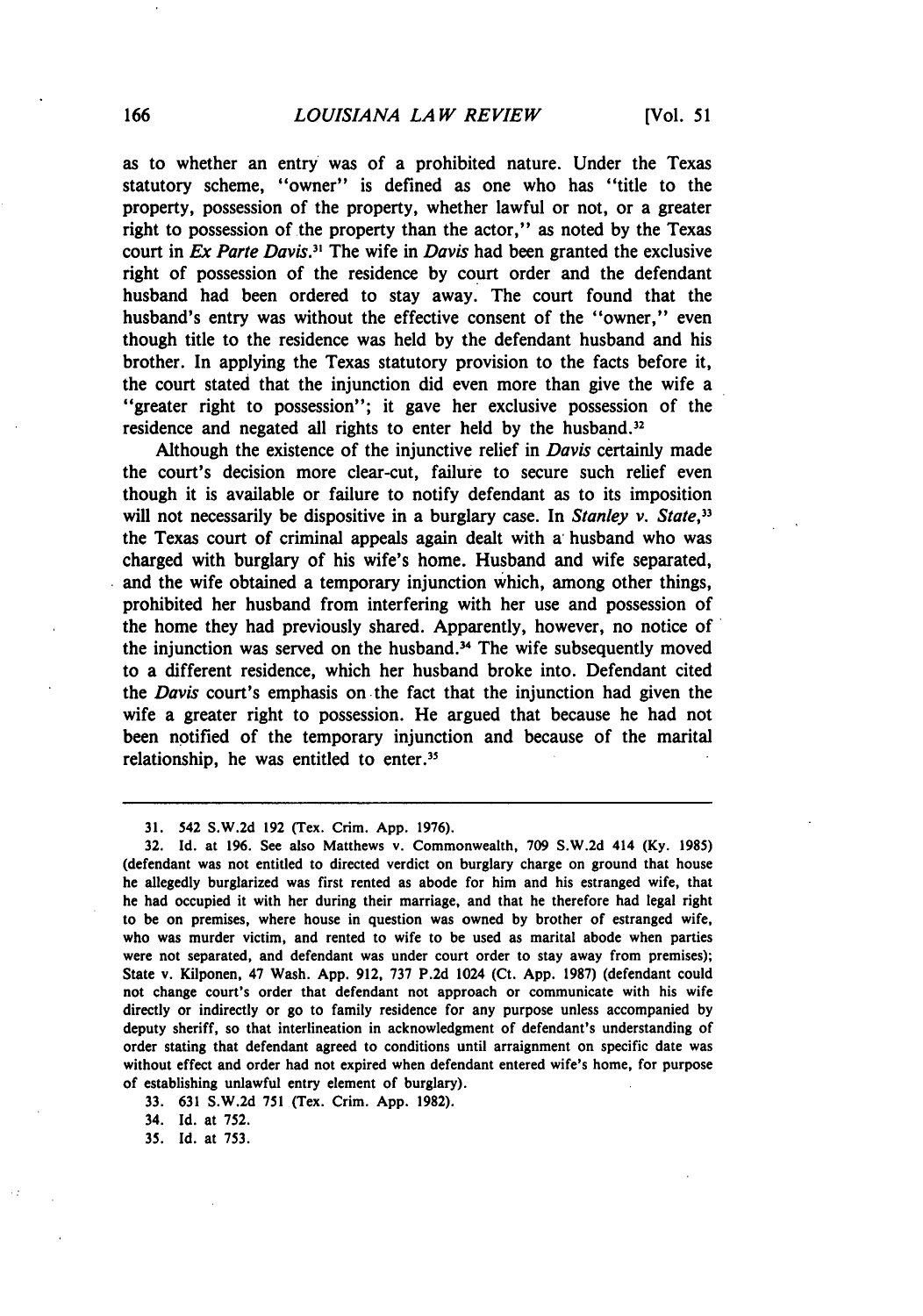as to whether an entry was of a prohibited nature. Under the Texas statutory scheme, "owner" is defined as one who has "title to the property, possession of the property, whether lawful or not, or a greater right to possession of the property than the actor," as noted **by** the Texas court in *Ex Parte Davis.*<sup>31</sup> The wife in *Davis* had been granted the exclusive right of possession of the residence **by** court order and the defendant husband had been ordered to stay away. The court found that the husband's entry was without the effective consent of the "owner," even though title to the residence was held **by** the defendant husband and his brother. In applying the Texas statutory provision to the facts before it, the court stated that the injunction did even more than give the wife a "greater right to possession"; it gave her exclusive possession of the residence and negated all rights to enter held by the husband.<sup>32</sup>

Although the existence of the injunctive relief in *Davis* certainly made the court's decision more clear-cut, failure to secure such relief even though it is available or failure to notify defendant as to its imposition will not necessarily be dispositive in a burglary case. In *Stanley v. State*,<sup>32</sup> the Texas court of criminal appeals again dealt with a- husband who was charged with burglary of his wife's home. Husband and wife separated, and the wife obtained a temporary injunction which, among other things, prohibited her husband from interfering with her use and possession of the home they had previously shared. Apparently, however, no notice of the injunction was served on the husband.<sup>34</sup> The wife subsequently moved to a different residence, which her husband broke into. Defendant cited the *Davis* court's emphasis on the fact that the injunction had given the wife a greater right to possession. He argued that because he had not been notified of the temporary injunction and because of the marital relationship, he was entitled to enter.<sup>35</sup>

**33. 631 S.W.2d 751** (Tex. Crim. **App. 1982).**

34. Id. at **752.**

**35.** Id. at **753.**

**<sup>31.</sup>** 542 **S.W.2d 192** ('rex. Crim. **App. 1976).**

**<sup>32.</sup>** Id. at **196.** See also Matthews v. Commonwealth, **709 S.W.2d** 414 **(Ky. 1985)** (defendant was not entitled to directed verdict on burglary charge on ground that house he allegedly burglarized was first rented as abode for him and his estranged wife, that he had occupied it with her during their marriage, and that he therefore had legal right to be on premises, where house in question was owned **by** brother of estranged wife, who was murder victim, and rented to wife to be used as marital abode when parties were not separated, and defendant was under court order to stay away from premises); State v. Kilponen, 47 Wash. **App. 912, 737 P.2d** 1024 (Ct. **App. 1987)** (defendant could not change court's order that defendant not approach or communicate with his wife directly or indirectly or go to family residence for any purpose unless accompanied **by** deputy sheriff, so that interlineation in acknowledgment of defendant's understanding of order stating that defendant agreed to conditions until arraignment on specific date was without effect and order had not expired when defendant entered wife's home, for purpose of establishing unlawful entry element of burglary).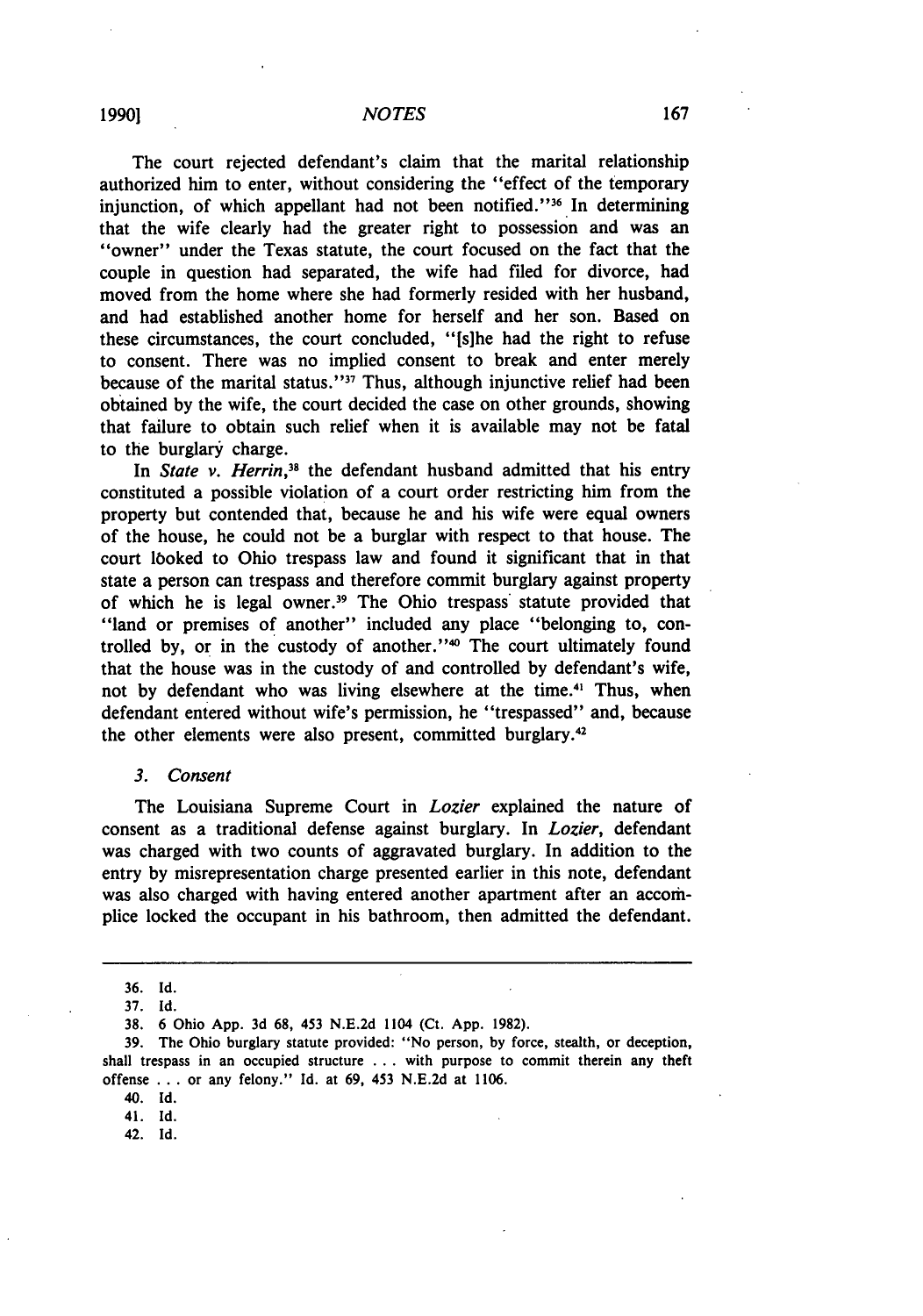The court rejected defendant's claim that the marital relationship authorized him to enter, without considering the "effect of the temporary injunction, of which appellant had not been notified."<sup>36</sup> In determining that the wife clearly had the greater right to possession and was an "owner" under the Texas statute, the court focused on the fact that the couple in question had separated, the wife had filed for divorce, had moved from the home where she had formerly resided with her husband, and had established another home for herself and her son. Based on these circumstances, the court concluded, "[s]he had the right to refuse to consent. There was no implied consent to break and enter merely because of the marital status."<sup>37</sup> Thus, although injunctive relief had been obtained by the wife, the court decided the case on other grounds, showing that failure to obtain such relief when it is available may not be fatal to the burglary charge.

In *State v. Herrin*,<sup>38</sup> the defendant husband admitted that his entry constituted a possible violation of a court order restricting him from the property but contended that, because he and his wife were equal owners of the house, he could not be a burglar with respect to that house. The court lboked to Ohio trespass law and found it significant that in that state a person can trespass and therefore commit burglary against property of which he is legal owner.<sup>39</sup> The Ohio trespass statute provided that "land or premises of another" included any place "belonging to, controlled by, or in the custody of another."<sup>40</sup> The court ultimately found that the house was in the custody of and controlled by defendant's wife, not by defendant who was living elsewhere at the time.<sup>41</sup> Thus, when defendant entered without wife's permission, he "trespassed" and, because the other elements were also present, committed burglary.42

#### *3. Consent*

The Louisiana Supreme Court in *Lozier* explained the nature of consent as a traditional defense against burglary. In *Lozier,* defendant was charged with two counts of aggravated burglary. In addition to the entry by misrepresentation charge presented earlier in this note, defendant was also charged with having entered another apartment after an accomplice locked the occupant in his bathroom, then admitted the defendant.

40. Id.

41. Id.

42. Id.

<sup>36.</sup> Id.

<sup>37.</sup> Id.

**<sup>38. 6</sup>** Ohio App. 3d **68,** 453 **N.E.2d** 1104 (Ct. App. **1982).**

**<sup>39.</sup>** The Ohio burglary statute provided: "No person, by force, stealth, or deception, shall trespass in an occupied structure ... with purpose to commit therein any theft offense ... or any felony." Id. at **69,** 453 N.E.2d at 1106.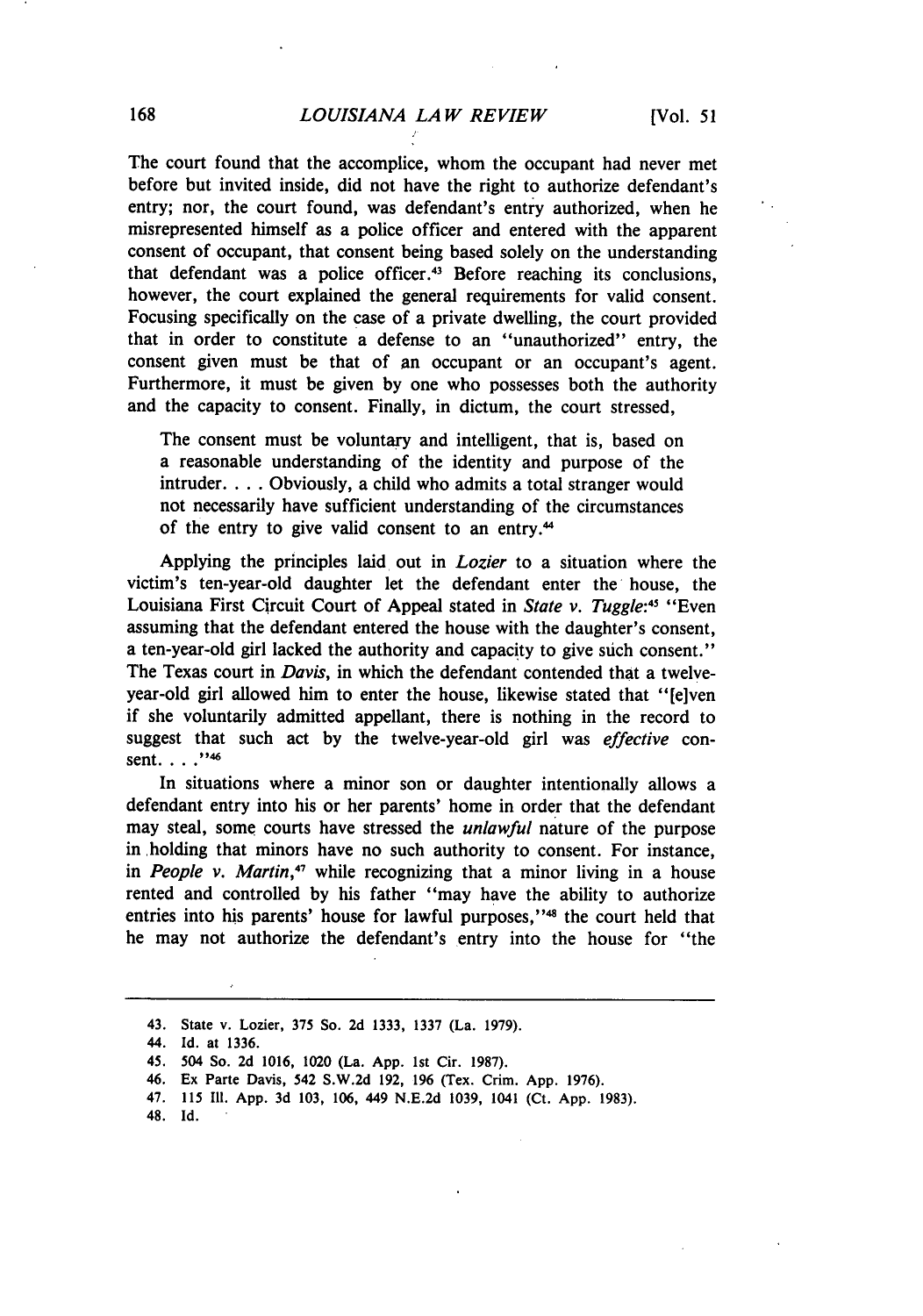The court found that the accomplice, whom the occupant had never met before but invited inside, did not have the right to authorize defendant's entry; nor, the court found, was defendant's entry authorized, when he misrepresented himself as a police officer and entered with the apparent consent of occupant, that consent being based solely on the understanding that defendant was a police officer.<sup>43</sup> Before reaching its conclusions however, the court explained the general requirements for valid consent. Focusing specifically on the case of a private dwelling, the court provided that in order to constitute a defense to an "unauthorized" entry, the consent given must be that of an occupant or an occupant's agent. Furthermore, it must be given by one who possesses both the authority and the capacity to consent. Finally, in dictum, the court stressed,

The consent must be voluntary and intelligent, that is, based on a reasonable understanding of the identity and purpose of the intruder.... Obviously, a child who admits a total stranger would not necessarily have sufficient understanding of the circumstances of the entry to give valid consent to an entry.<sup>44</sup>

Applying the principles laid out in *Lozier* to a situation where the victim's ten-year-old daughter let the defendant enter the house, the Louisiana First Circuit Court of Appeal stated in *State v. Tuggle:4* "Even assuming that the defendant entered the house with the daughter's consent, a ten-year-old girl lacked the authority and capacity to give such consent." The Texas court in *Davis,* in which the defendant contended that a twelveyear-old girl allowed him to enter the house, likewise stated that "[e]ven if she voluntarily admitted appellant, there is nothing in the record to suggest that such act by the twelve-year-old girl was *effective* consent. . . .<sup>''46</sup>

In situations where a minor son or daughter intentionally allows a defendant entry into his or her parents' home in order that the defendant may steal, some courts have stressed the *unlawful* nature of the purpose in holding that minors have no such authority to consent. For instance, in *People v. Martin*,<sup>47</sup> while recognizing that a minor living in a house rented and controlled by his father "may have the ability to authorize entries into his parents' house for lawful purposes,"<sup>48</sup> the court held that he may not authorize the defendant's entry into the house for "the

- **46. Ex Parte Davis, 542 S.W.2d 192, 196 (Tex. Crim. App. 1976).**
- **47. 115 I1. App. 3d 103, 106, 449 N.E.2d 1039, 1041 (Ct. App. 1983).**
- 48. Id.

**<sup>43.</sup>** State v. Lozier, **375 So. 2d 1333, 1337** (La. **1979).**

<sup>44.</sup> **Id. at 1336.**

**<sup>45. 504</sup> So. 2d 1016, 1020 (La. App. 1st Cir. 1987).**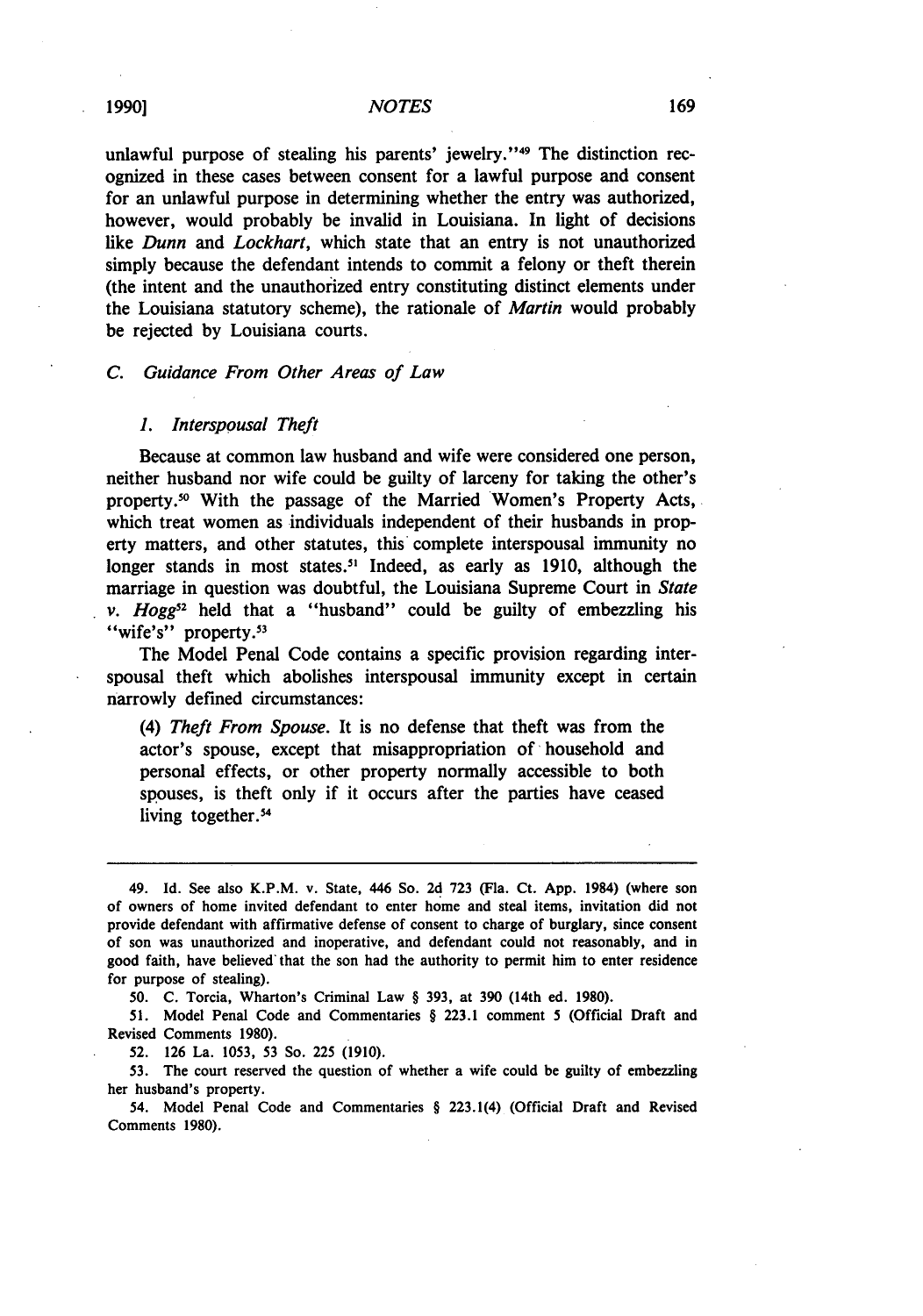unlawful purpose of stealing his parents' jewelry."<sup>49</sup> The distinction recognized in these cases between consent for a lawful purpose and consent for an unlawful purpose in determining whether the entry was authorized, however, would probably be invalid in Louisiana. In light of decisions like *Dunn and Lockhart,* which state that an entry is not unauthorized simply because the defendant intends to commit a felony or theft therein (the intent and the unauthorized entry constituting distinct elements under the Louisiana statutory scheme), the rationale of *Martin* would probably be rejected **by** Louisiana courts.

#### *C. Guidance From Other Areas of Law*

#### *1. Interspousal Theft*

Because at common law husband and wife were considered one person, neither husband nor wife could be guilty of larceny for taking the other's property.50 With the passage of the Married Women's Property Acts, which treat women as individuals independent of their husbands in property matters, and other statutes, this complete interspousal immunity no longer stands in most states." Indeed, as early as **1910,** although the marriage in question was doubtful, the Louisiana Supreme Court in *State v. Hogg*<sup>52</sup> held that a "husband" could be guilty of embezzling his "wife's" property.<sup>53</sup>

The Model Penal Code contains a specific provision regarding interspousal theft which abolishes interspousal immunity except in certain narrowly defined circumstances:

*(4) Theft From Spouse.* It is no defense that theft was from the actor's spouse, except that misappropriation of household and personal effects, or other property normally accessible to both spouses, is theft only if it occurs after the parties have ceased living together.<sup>54</sup>

**52. 126** La. **1053, 53** So. **225 (1910).**

**53.** The court reserved the question of whether a wife could be guilty of embezzling her husband's property.

54. Model Penal Code and Commentaries § 223.1(4) (Official Draft and Revised Comments **1980).**

<sup>49.</sup> **Id.** See also K.P.M. v. State, 446 So. **2d 723** (Fla. Ct. **App.** 1984) (where son of owners of home invited defendant to enter home and steal items, invitation did not provide defendant with affirmative defense of consent to charge of burglary, since consent of son was unauthorized and inoperative, and defendant could not reasonably, and in good faith, have believed" that the son had the authority to permit him to enter residence for purpose of stealing).

**<sup>50.</sup> C.** Torcia, Wharton's Criminal Law § **393,** at **390** (14th ed. **1980).**

**<sup>51.</sup>** Model Penal Code and Commentaries § **223.1** comment 5 (Official Draft and Revised Comments **1980).**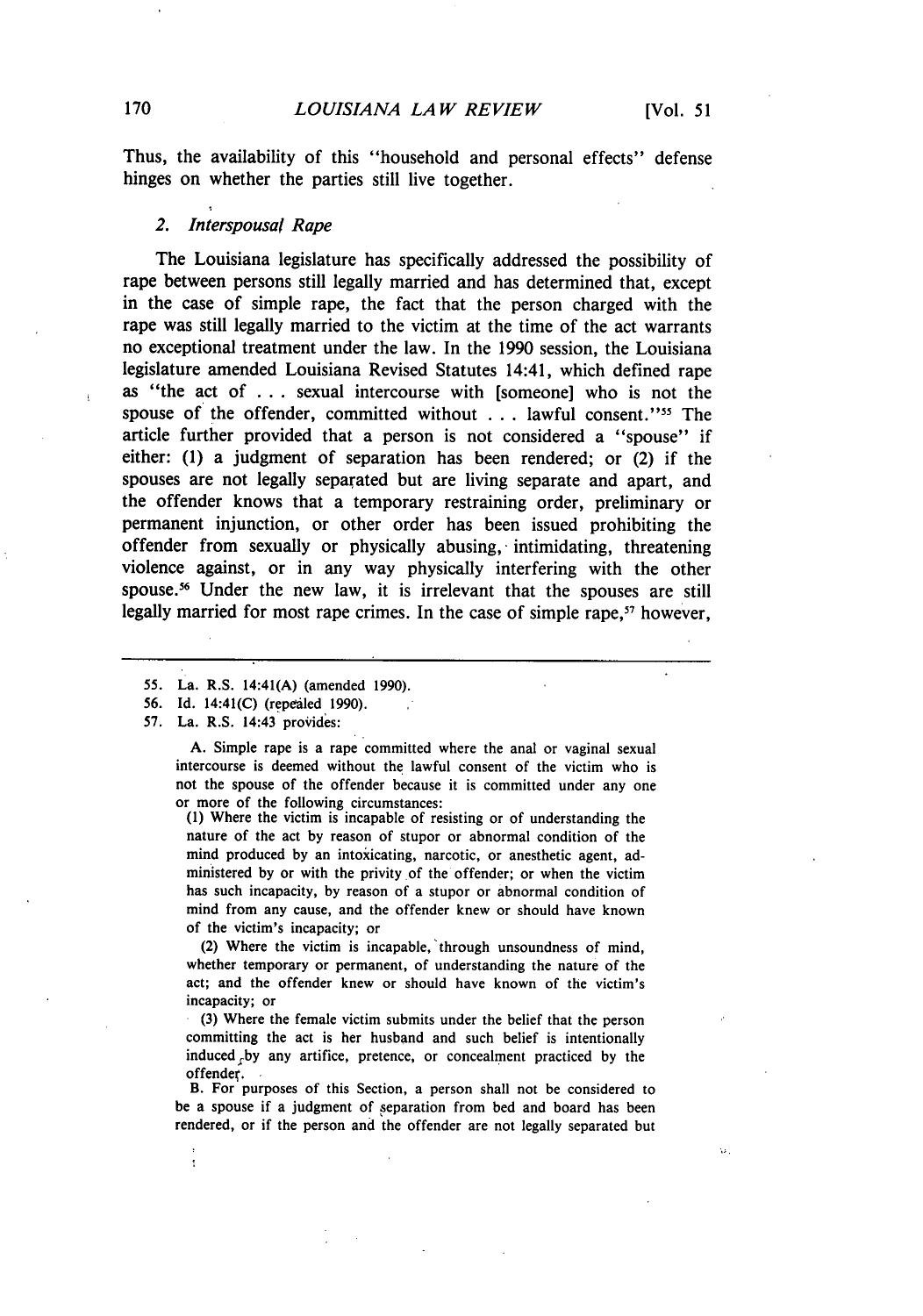ω.

Thus, the availability of this "household and personal effects" defense hinges on whether the parties still live together.

#### *2. Interspousal Rape*

The Louisiana legislature has specifically addressed the possibility of rape between persons still legally married and has determined that, except in the case of simple rape, the fact that the person charged with the rape was still legally married to the victim at the time of the act warrants no exceptional treatment under the law. In the **1990** session, the Louisiana legislature amended Louisiana Revised Statutes 14:41, which defined rape as "the act of **...** sexual intercourse with [someone] who is not the spouse of the offender, committed without . . . lawful consent."<sup>55</sup> The article further provided that a person is not considered a "spouse" if either: **(1)** a judgment of separation has been rendered; or (2) if the spouses are not legally separated but are living separate and apart, and the offender knows that a temporary restraining order, preliminary or permanent injunction, or other order has been issued prohibiting the offender from sexually or physically abusing,- intimidating, threatening violence against, or in any way physically interfering with the other spouse.<sup>56</sup> Under the new law, it is irrelevant that the spouses are still legally married for most rape crimes. In the case of simple rape,<sup>57</sup> however,

- 55. La. R.S. 14:41(A) (amended 1990).
- 56. Id. 14:41(C) (repealed 1990).
- 57. La. R.S. 14:43 provides:

f.

A. Simple rape is a rape committed where the anal or vaginal sexual intercourse is deemed without the lawful consent of the victim who is not the spouse of the offender because it is committed under any one or more of the following circumstances:

(1) Where the victim is incapable of resisting or of understanding the nature of the act by reason of stupor or abnormal condition of the mind produced by an intoxicating, narcotic, or anesthetic agent, administered by or with the privity of the offender; or when the victim has such incapacity, by reason of a stupor or abnormal condition of mind from any cause, and the offender knew or should have known of the victim's incapacity; or

(2) Where the victim is incapable, 'through unsoundness of mind, whether temporary or permanent, of understanding the nature of the act; and the offender knew or should have known of the victim's incapacity; or

(3) Where the female victim submits under the belief that the person committing the act is her husband and such belief is intentionally induced by any artifice, pretence, or concealment practiced by the offender.

B. For purposes of this Section, a person shall not be considered to be a spouse if a judgment of separation from bed and board has been rendered, or if the person and the offender are not legally separated but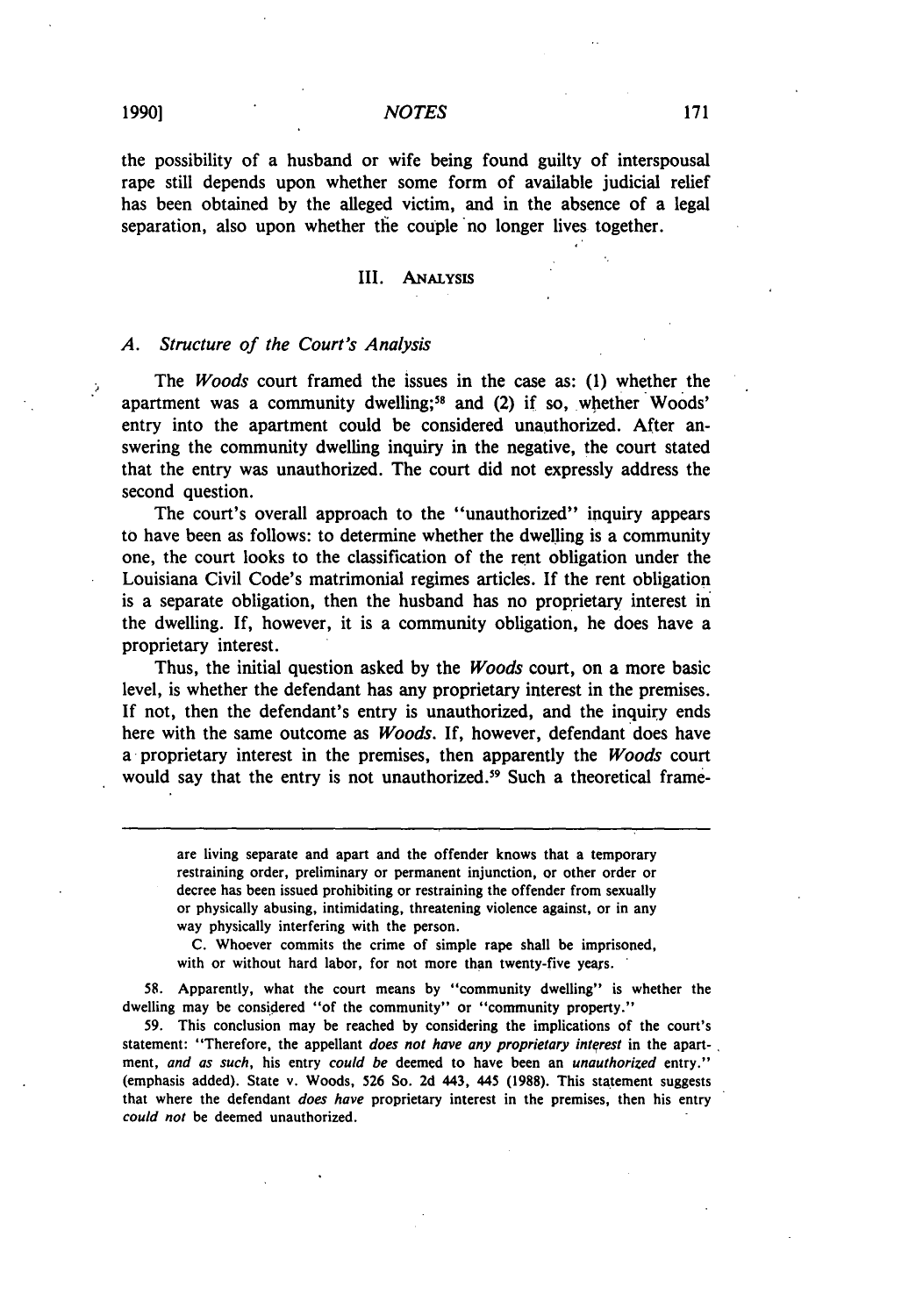#### **NOTES**

the possibility of a husband or wife being found guilty of interspousal rape still depends upon whether some form of available judicial relief has been obtained by the alleged victim, and in the absence of a legal separation, also upon whether tie couple no longer lives together.

#### III. ANALYSIS

## A. Structure of the Court's Analysis

The *Woods* court framed the issues in the case as: (1) whether the apartment was a community dwelling;<sup>58</sup> and (2) if so, whether Woods entry into the apartment could be considered unauthorized. After answering the community dwelling inquiry in the negative, the court stated that the entry was unauthorized. The court did not expressly address the second question.

The court's overall approach to the "unauthorized" inquiry appears to have been as follows: to determine whether the dwelling is a community one, the court looks to the classification of the rent obligation under the Louisiana Civil Code's matrimonial regimes articles. If the rent obligation is a separate obligation, then the husband has no proprietary interest in the dwelling. If, however, it is a community obligation, he does have a proprietary interest.

Thus, the initial question asked by the Woods court, on a more basic level, is whether the defendant has any proprietary interest in the premises. If not, then the defendant's entry is unauthorized, and the inquiry ends here with the same outcome as *Woods*. If, however, defendant does have a proprietary interest in the premises, then apparently the Woods court would say that the entry is not unauthorized.<sup>59</sup> Such a theoretical frame-

are living separate and apart and the offender knows that a temporary restraining order, preliminary or permanent injunction, or other order or decree has been issued prohibiting or restraining the offender from sexually or physically abusing, intimidating, threatening violence against, or in any way physically interfering with the person.

C. Whoever commits the crime of simple rape shall be imprisoned, with or without hard labor, for not more than twenty-five years.

58. Apparently, what the court means by "community dwelling" is whether the dwelling may be considered "of the community" or "community property."

59. This conclusion may be reached by considering the implications of the court's statement: "Therefore, the appellant *does not have any proprietary interest* in the apart-, ment, *and as* such, his entry *could be* deemed to have been an *unauthorized* entry." (emphasis added). State v. Woods, 526 So. 2d 443, 445 (1988). This statement suggests that where the defendant *does have* proprietary interest in the premises, then his entry could *not* be deemed unauthorized.

þ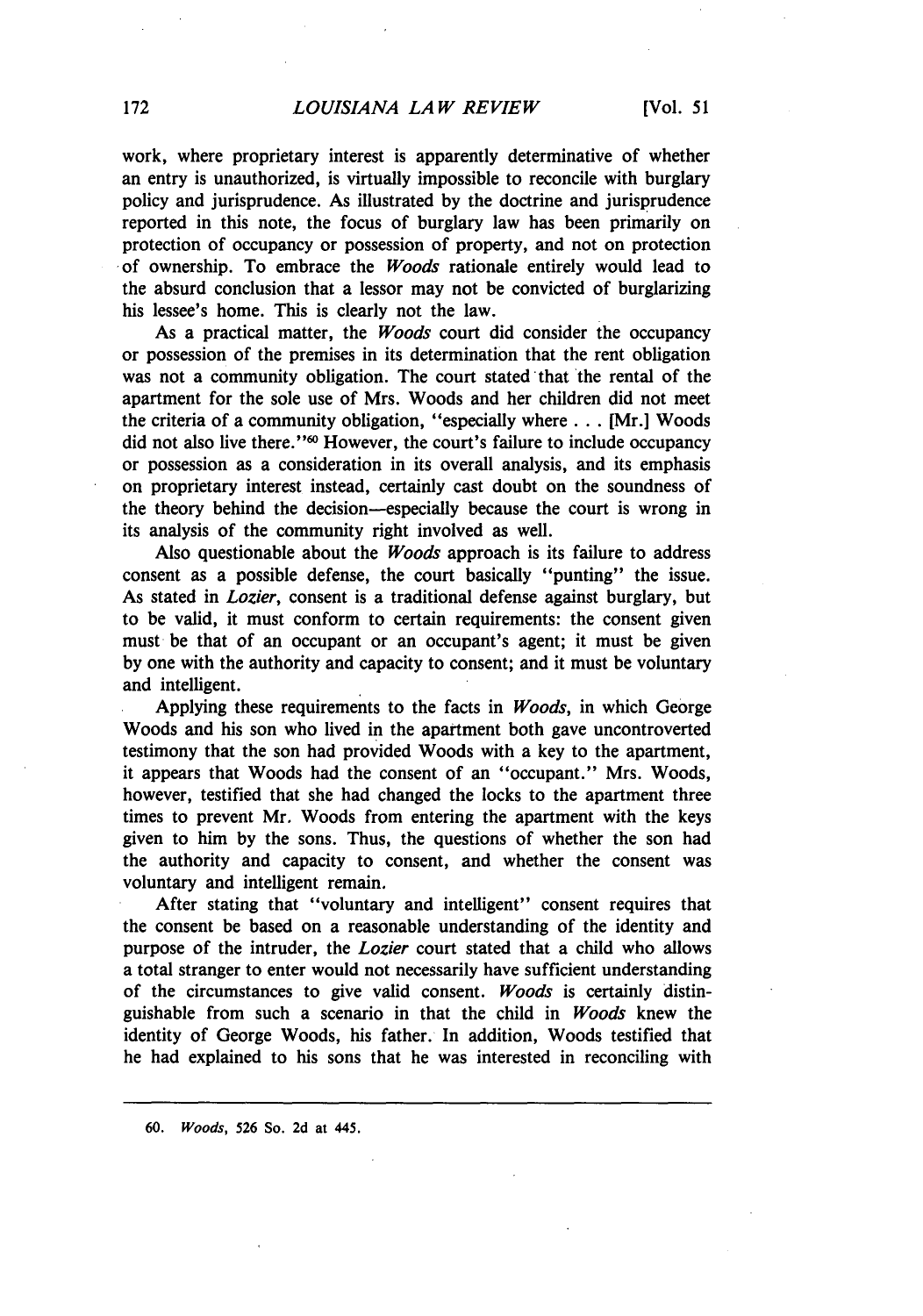work, where proprietary interest is apparently determinative of whether an entry is unauthorized, is virtually impossible to reconcile with burglary policy and jurisprudence. As illustrated by the doctrine and jurisprudence reported in this note, the focus of burglary law has been primarily on protection of occupancy or possession of property, and not on protection of ownership. To embrace the *Woods* rationale entirely would lead to the absurd conclusion that a lessor may not be convicted of burglarizing his lessee's home. This is clearly not the law.

As a practical matter, the *Woods* court did consider the occupancy or possession of the premises in its determination that the rent obligation was not a community obligation. The court stated that the rental of the apartment for the sole use of Mrs. Woods and her children did not meet the criteria of a community obligation, "especially where **...** [Mr.] Woods did not also live there."60 However, the court's failure to include occupancy or possession as a consideration in its overall analysis, and its emphasis on proprietary interest instead, certainly cast doubt on the soundness of the theory behind the decision-especially because the court is wrong in its analysis of the community right involved as well.

Also questionable about the *Woods* approach is its failure to address consent as a possible defense, the court basically "punting" the issue. As stated in *Lozier,* consent is a traditional defense against burglary, but to be valid, it must conform to certain requirements: the consent given must be that of an occupant or an occupant's agent; it must be given by one with the authority and capacity to consent; and it must be voluntary and intelligent.

Applying these requirements to the facts in *Woods,* in which George Woods and his son who lived in the apartment both gave uncontroverted testimony that the son had provided Woods with a key to the apartment, it appears that Woods had the consent of an "occupant." Mrs. Woods, however, testified that she had changed the locks to the apartment three times to prevent Mr. Woods from entering the apartment with the keys given to him by the sons. Thus, the questions of whether the son had the authority and capacity to consent, and whether the consent was voluntary and intelligent remain.

After stating that "voluntary and intelligent" consent requires that the consent be based on a reasonable understanding of the identity and purpose of the intruder, the *Lozier* court stated that a child who allows a total stranger to enter would not necessarily have sufficient understanding of the circumstances to give valid consent. *Woods* is certainly distinguishable from such a scenario in that the child in *Woods* knew the identity of George Woods, his father. In addition, Woods testified that he had explained to his sons that he was interested in reconciling with

**60.** *Woods,* **526** So. **2d** at 445.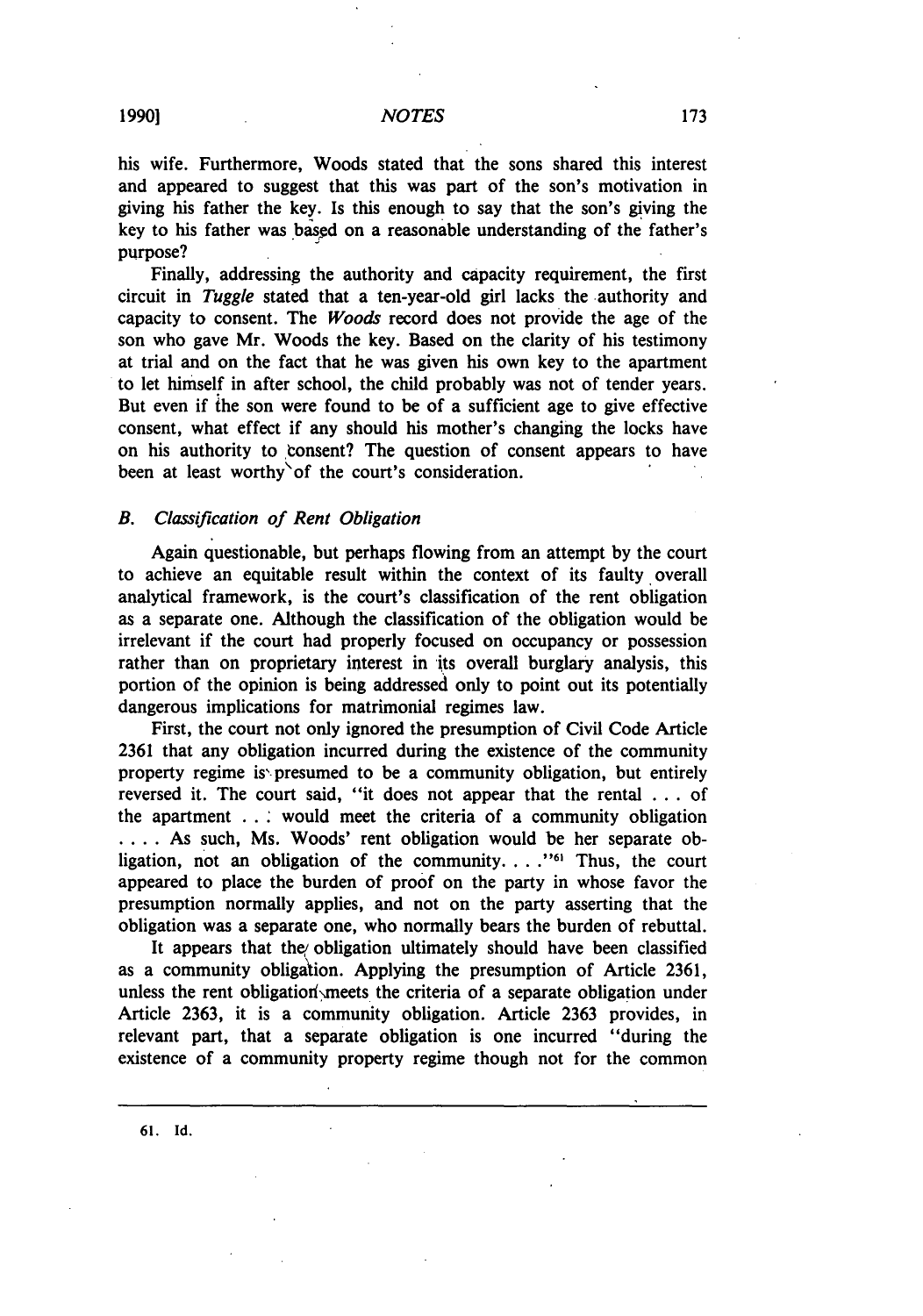his wife. Furthermore, Woods stated that the sons shared this interest and appeared to suggest that this was part of the son's motivation in giving his father the key. Is this enough to say that the son's gving the key to his father was based on a reasonable understanding of the father's purpose?

Finally, addressing the authority and capacity requirement, the first circuit in *Tuggle* stated that a ten-year-old girl lacks the authority and capacity to consent. The *Woods* record does not provide the age of the son who gave Mr. Woods the key. Based on the clarity of his testimony at trial and on the fact that he was given his own key to the apartment to let himself in after school, the child probably was not of tender years. But even if **the** son were found to be of a sufficient age to give effective consent, what effect if any should his mother's changing the locks have on his authority to tonsent? The question of consent appears to have been at least worthy of the court's consideration.

## *B. Classification of Rent Obligation*

Again questionable, but perhaps flowing from an attempt **by** the court to achieve an equitable result within the context of its faulty overall analytical framework, is the court's classification of the rent obligation as a separate one. Although the classification of the obligation would be irrelevant if the court had properly focused on occupancy or possession rather than on proprietary interest in its overall burglary analysis, this portion of the opinion is being addressed only to point out its potentially dangerous implications for matrimonial regimes law.

First, the court not only ignored the presumption of Civil Code Article **2361** that any obligation incurred during the existence of the community property regime is presumed to be a community obligation, but entirely reversed it. The court said, "it does not appear that the rental **...** of the apartment **. . '** would meet the criteria of a community obligation .... As such, Ms. Woods' rent obligation would be her separate obligation, not an obligation of the community. . . .<sup>161</sup> Thus, the court appeared to place the burden of proof on the party in whose favor the presumption normally applies, and not on the party asserting that the obligation was a separate one, who normally bears the burden of rebuttal.

It appears that the obligation ultimately should have been classified as a community obligation. Applying the presumption of Article **2361,** unless the rent obligation meets the criteria of a separate obligation under Article **2363,** it is a community obligation. Article **2363** provides, in relevant part, that a separate obligation is one incurred "during the existence of a community property regime though not for the common

**61. Id.**

173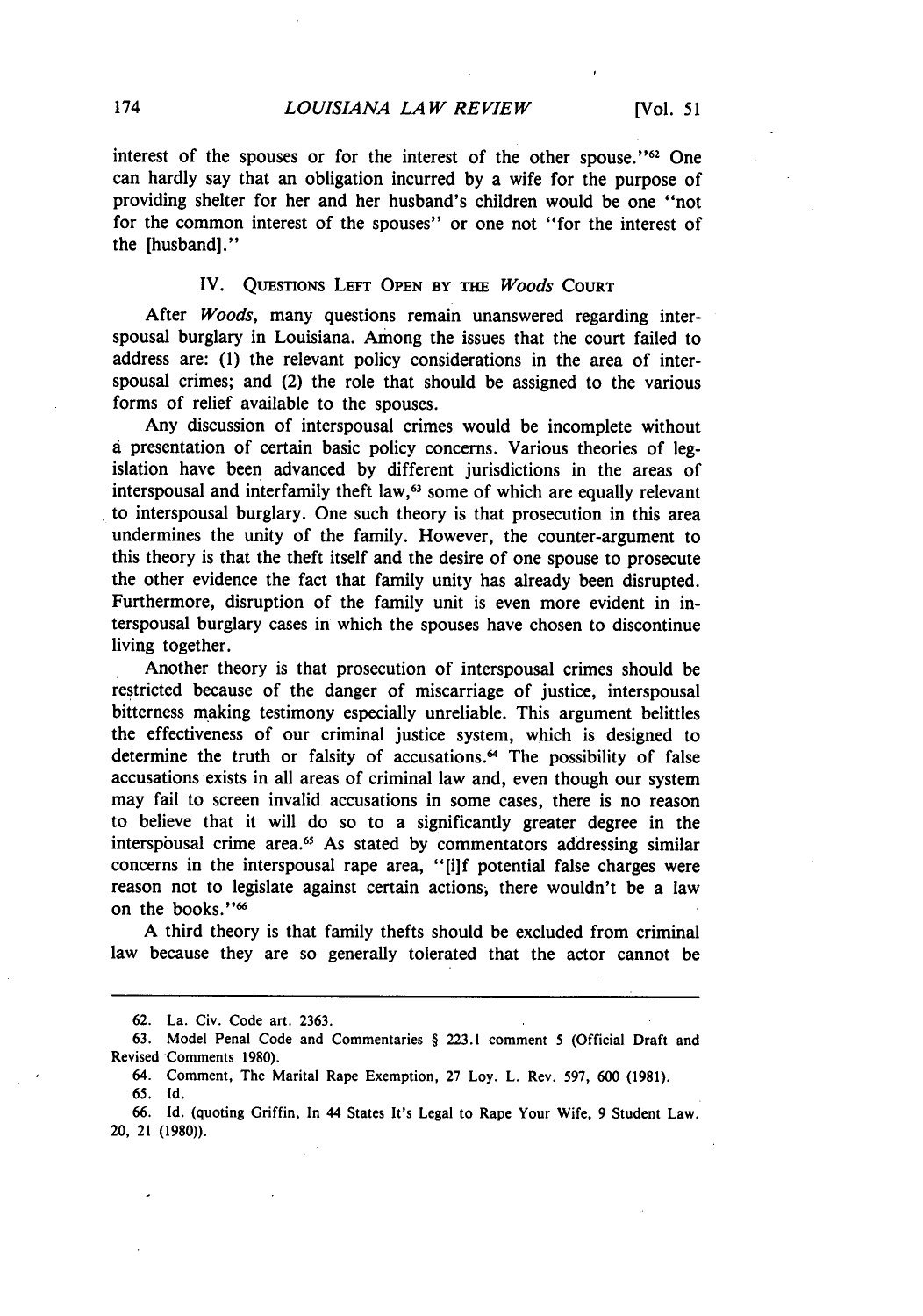interest of the spouses or for the interest of the other spouse." $62$  One can hardly say that an obligation incurred by a wife for the purpose of providing shelter for her and her husband's children would be one "not for the common interest of the spouses" or one not "for the interest of the [husband]."

# IV. **QUESTIONS LEFT OPEN BY THE** *Woods* **COURT**

After *Woods,* many questions remain unanswered regarding interspousal burglary in Louisiana. Among the issues that the court failed to address are: (1) the relevant policy considerations in the area of interspousal crimes; and (2) the role that should be assigned to the various forms of relief available to the spouses.

Any discussion of interspousal crimes would be incomplete without **d** presentation of certain basic policy concerns. Various theories of legislation have been advanced by different jurisdictions in the areas of interspousal and interfamily theft law,<sup>63</sup> some of which are equally relevant to interspousal burglary. One such theory is that prosecution in this area undermines the unity of the family. However, the counter-argument to this theory is that the theft itself and the desire of one spouse to prosecute the other evidence the fact that family unity has already been disrupted. Furthermore, disruption of the family unit is even more evident in interspousal burglary cases in which the spouses have chosen to discontinue living together.

Another theory is that prosecution of interspousal crimes should be restricted because of the danger of miscarriage of justice, interspousal bitterness making testimony especially unreliable. This argument belittles the effectiveness of our criminal justice system, which is designed to determine the truth or falsity of accusations.<sup>64</sup> The possibility of false accusations exists in all areas of criminal law and, even though our system may fail to screen invalid accusations in some cases, there is no reason to believe that it will do so to a significantly greater degree in the interspousal crime area.<sup>65</sup> As stated by commentators addressing similar concerns in the interspousal rape area, "[i]f potential false charges were reason not to legislate against certain actions; there wouldn't be a law on the books."66

A third theory is that family thefts should be excluded from criminal law because they are so generally tolerated that the actor cannot be

<sup>62.</sup> La. Civ. Code art. 2363.

<sup>63.</sup> Model Penal Code and Commentaries § 223.1 comment **5** (Official Draft and Revised Comments 1980).

<sup>64.</sup> Comment, The Marital Rape Exemption, 27 Loy. L. Rev. 597, 600 (1981). 65. Id.

<sup>66.</sup> Id. (quoting Griffin, In 44 States It's Legal to Rape Your Wife, 9 Student Law. 20, 21 (1980)).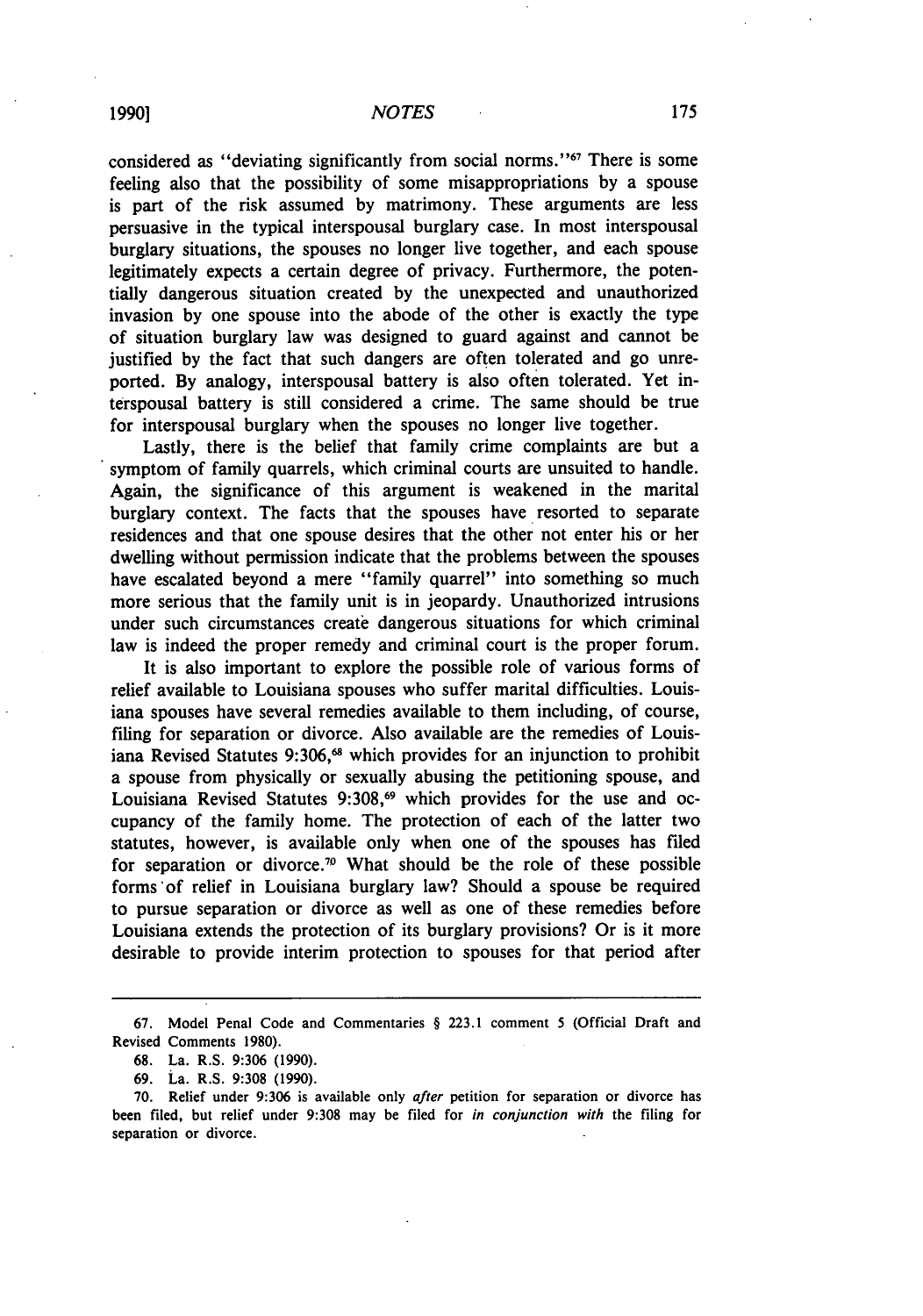considered as "deviating significantly from social norms."<sup>67</sup> There is some feeling also that the possibility of some misappropriations by a spouse is part of the risk assumed by matrimony. These arguments are less persuasive in the typical interspousal burglary case. In most interspousal burglary situations, the spouses no longer live together, and each spouse legitimately expects a certain degree of privacy. Furthermore, the potentially dangerous situation created by the unexpected and unauthorized invasion by one spouse into the abode of the other is exactly the type of situation burglary law was designed to guard against and cannot be justified by the fact that such dangers are often tolerated and go unreported. By analogy, interspousal battery is also often tolerated. Yet interspousal battery is still considered a crime. The same should be true for interspousal burglary when the spouses no longer live together.

Lastly, there is the belief that family crime complaints are but a symptom of family quarrels, which criminal courts are unsuited to handle. Again, the significance of this argument is weakened in the marital burglary context. The facts that the spouses have resorted to separate residences and that one spouse desires that the other not enter his or her dwelling without permission indicate that the problems between the spouses have escalated beyond a mere "family quarrel" into something so much more serious that the family unit is in jeopardy. Unauthorized intrusions under such circumstances create dangerous situations for which criminal law is indeed the proper remedy and criminal court is the proper forum.

It is also important to explore the possible role of various forms of relief available to Louisiana spouses who suffer marital difficulties. Louisiana spouses have several remedies available to them including, of course, filing for separation or divorce. Also available are the remedies of Louisiana Revised Statutes 9:306,<sup>68</sup> which provides for an injunction to prohibit a spouse from physically or sexually abusing the petitioning spouse, and Louisiana Revised Statutes  $9:308,$ <sup>69</sup> which provides for the use and occupancy of the family home. The protection of each of the latter two statutes, however, is available only when one of the spouses has filed for separation or divorce.<sup>70</sup> What should be the role of these possible forms 'of relief in Louisiana burglary law? Should a spouse be required to pursue separation or divorce as well as one of these remedies before Louisiana extends the protection of its burglary provisions? Or is it more desirable to provide interim protection to spouses for that period after

<sup>67.</sup> Model Penal Code and Commentaries § 223.1 comment 5 (Official Draft and Revised Comments 1980).

<sup>68.</sup> La. R.S. 9:306 (1990).

**<sup>69.</sup>** La. R.S. **9:308 (1990).**

**<sup>70.</sup>** Relief under **9:306** is available only after petition for separation or divorce has been filed, but relief under **9:308** may be filed for in conjunction with the filing for separation or divorce.